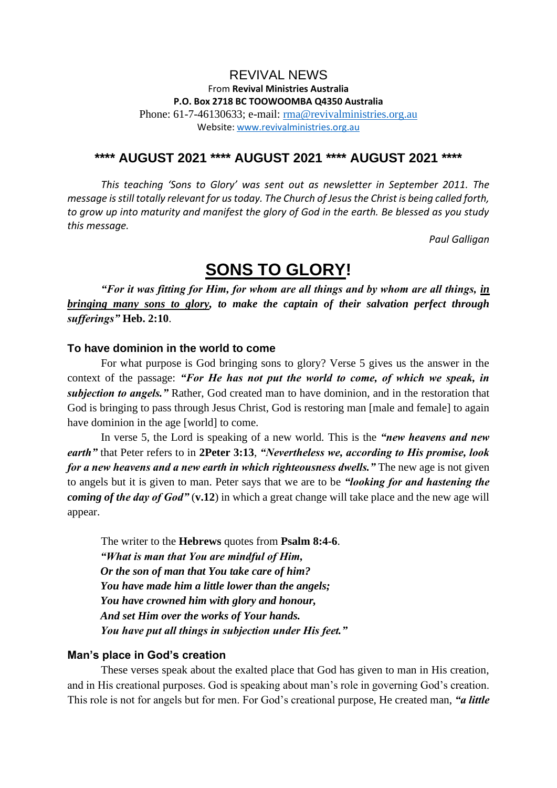## REVIVAL NEWS From **Revival Ministries Australia P.O. Box 2718 BC TOOWOOMBA Q4350 Australia** Phone: 61-7-46130633; e-mail: [rma@revivalministries.org.au](mailto:rma@revivalministries.org.au) Website: [www.revivalministries.org.au](https://apac01.safelinks.protection.outlook.com/?url=http%3A%2F%2Fwww.revivalministries.org.au%2F&data=04%7C01%7C%7Cb9a0f0caacad44b56d1f08d966a01bee%7C84df9e7fe9f640afb435aaaaaaaaaaaa%7C1%7C0%7C637653660187750384%7CUnknown%7CTWFpbGZsb3d8eyJWIjoiMC4wLjAwMDAiLCJQIjoiV2luMzIiLCJBTiI6Ik1haWwiLCJXVCI6Mn0%3D%7C1000&sdata=PStK0xXWm9FfyWfggTBGRgFL695rIQ4tATIP7dCs3IY%3D&reserved=0)

## **\*\*\*\* AUGUST 2021 \*\*\*\* AUGUST 2021 \*\*\*\* AUGUST 2021 \*\*\*\***

*This teaching 'Sons to Glory' was sent out as newsletter in September 2011. The message is still totally relevant for us today. The Church of Jesus the Christ is being called forth, to grow up into maturity and manifest the glory of God in the earth. Be blessed as you study this message.* 

*Paul Galligan*

# **SONS TO GLORY!**

*"For it was fitting for Him, for whom are all things and by whom are all things, in bringing many sons to glory, to make the captain of their salvation perfect through sufferings"* **Heb. 2:10**.

## **To have dominion in the world to come**

For what purpose is God bringing sons to glory? Verse 5 gives us the answer in the context of the passage: *"For He has not put the world to come, of which we speak, in subjection to angels."* Rather, God created man to have dominion, and in the restoration that God is bringing to pass through Jesus Christ, God is restoring man [male and female] to again have dominion in the age [world] to come.

In verse 5, the Lord is speaking of a new world. This is the *"new heavens and new earth"* that Peter refers to in **2Peter 3:13**, *"Nevertheless we, according to His promise, look for a new heavens and a new earth in which righteousness dwells."* The new age is not given to angels but it is given to man. Peter says that we are to be *"looking for and hastening the coming of the day of God"* (**v.12**) in which a great change will take place and the new age will appear.

The writer to the **Hebrews** quotes from **Psalm 8:4-6**. *"What is man that You are mindful of Him, Or the son of man that You take care of him? You have made him a little lower than the angels; You have crowned him with glory and honour, And set Him over the works of Your hands. You have put all things in subjection under His feet."* 

#### **Man's place in God's creation**

These verses speak about the exalted place that God has given to man in His creation, and in His creational purposes. God is speaking about man's role in governing God's creation. This role is not for angels but for men. For God's creational purpose, He created man, *"a little*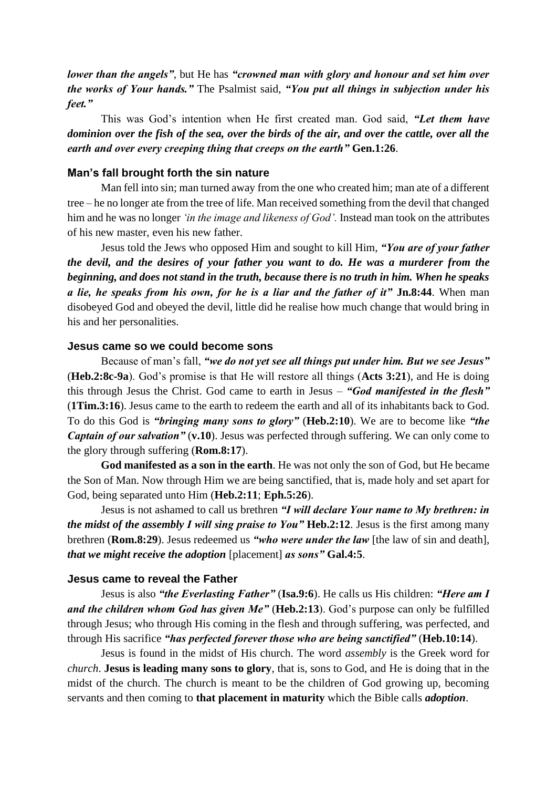*lower than the angels"*, but He has *"crowned man with glory and honour and set him over the works of Your hands."* The Psalmist said, *"You put all things in subjection under his feet."* 

This was God's intention when He first created man. God said, *"Let them have dominion over the fish of the sea, over the birds of the air, and over the cattle, over all the earth and over every creeping thing that creeps on the earth"* **Gen.1:26**.

#### **Man's fall brought forth the sin nature**

Man fell into sin; man turned away from the one who created him; man ate of a different tree – he no longer ate from the tree of life. Man received something from the devil that changed him and he was no longer *'in the image and likeness of God'.* Instead man took on the attributes of his new master, even his new father.

Jesus told the Jews who opposed Him and sought to kill Him, *"You are of your father the devil, and the desires of your father you want to do. He was a murderer from the beginning, and does not stand in the truth, because there is no truth in him. When he speaks a lie, he speaks from his own, for he is a liar and the father of it"* **Jn.8:44**. When man disobeyed God and obeyed the devil, little did he realise how much change that would bring in his and her personalities.

## **Jesus came so we could become sons**

Because of man's fall, *"we do not yet see all things put under him. But we see Jesus"*  (**Heb.2:8c-9a**). God's promise is that He will restore all things (**Acts 3:21**), and He is doing this through Jesus the Christ. God came to earth in Jesus – *"God manifested in the flesh"*  (**1Tim.3:16**). Jesus came to the earth to redeem the earth and all of its inhabitants back to God. To do this God is *"bringing many sons to glory"* (**Heb.2:10**). We are to become like *"the Captain of our salvation*" (**v.10**). Jesus was perfected through suffering. We can only come to the glory through suffering (**Rom.8:17**).

**God manifested as a son in the earth**. He was not only the son of God, but He became the Son of Man. Now through Him we are being sanctified, that is, made holy and set apart for God, being separated unto Him (**Heb.2:11**; **Eph.5:26**).

Jesus is not ashamed to call us brethren *"I will declare Your name to My brethren: in the midst of the assembly I will sing praise to You"* **Heb.2:12**. Jesus is the first among many brethren (**Rom.8:29**). Jesus redeemed us *"who were under the law* [the law of sin and death], *that we might receive the adoption* [placement] *as sons"* **Gal.4:5**.

## **Jesus came to reveal the Father**

Jesus is also *"the Everlasting Father"* (**Isa.9:6**). He calls us His children: *"Here am I and the children whom God has given Me"* (**Heb.2:13**). God's purpose can only be fulfilled through Jesus; who through His coming in the flesh and through suffering, was perfected, and through His sacrifice *"has perfected forever those who are being sanctified"* (**Heb.10:14**).

Jesus is found in the midst of His church. The word *assembly* is the Greek word for *church*. **Jesus is leading many sons to glory**, that is, sons to God, and He is doing that in the midst of the church. The church is meant to be the children of God growing up, becoming servants and then coming to **that placement in maturity** which the Bible calls *adoption*.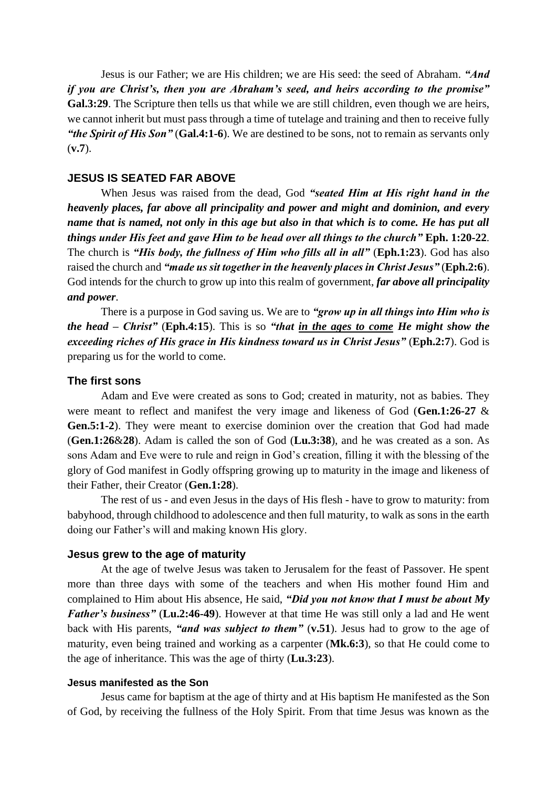Jesus is our Father; we are His children; we are His seed: the seed of Abraham. *"And if you are Christ's, then you are Abraham's seed, and heirs according to the promise"*  **Gal.3:29**. The Scripture then tells us that while we are still children, even though we are heirs, we cannot inherit but must pass through a time of tutelage and training and then to receive fully *"the Spirit of His Son"* (**Gal.4:1-6**). We are destined to be sons, not to remain as servants only (**v.7**).

#### **JESUS IS SEATED FAR ABOVE**

When Jesus was raised from the dead, God *"seated Him at His right hand in the heavenly places, far above all principality and power and might and dominion, and every name that is named, not only in this age but also in that which is to come. He has put all things under His feet and gave Him to be head over all things to the church"* **Eph. 1:20-22**. The church is *"His body, the fullness of Him who fills all in all"* (**Eph.1:23**). God has also raised the church and "*made us sit together in the heavenly places in Christ Jesus*" (Eph.2:6). God intends for the church to grow up into this realm of government, *far above all principality and power*.

There is a purpose in God saving us. We are to *"grow up in all things into Him who is the head – Christ"* (**Eph.4:15**). This is so *"that in the ages to come He might show the exceeding riches of His grace in His kindness toward us in Christ Jesus"* (**Eph.2:7**). God is preparing us for the world to come.

#### **The first sons**

Adam and Eve were created as sons to God; created in maturity, not as babies. They were meant to reflect and manifest the very image and likeness of God (**Gen.1:26-27** & **Gen.5:1-2**). They were meant to exercise dominion over the creation that God had made (**Gen.1:26**&**28**). Adam is called the son of God (**Lu.3:38**), and he was created as a son. As sons Adam and Eve were to rule and reign in God's creation, filling it with the blessing of the glory of God manifest in Godly offspring growing up to maturity in the image and likeness of their Father, their Creator (**Gen.1:28**).

The rest of us - and even Jesus in the days of His flesh - have to grow to maturity: from babyhood, through childhood to adolescence and then full maturity, to walk as sons in the earth doing our Father's will and making known His glory.

#### **Jesus grew to the age of maturity**

At the age of twelve Jesus was taken to Jerusalem for the feast of Passover. He spent more than three days with some of the teachers and when His mother found Him and complained to Him about His absence, He said, *"Did you not know that I must be about My Father's business"* (**Lu.2:46-49**). However at that time He was still only a lad and He went back with His parents, *"and was subject to them"* (**v.51**). Jesus had to grow to the age of maturity, even being trained and working as a carpenter (**Mk.6:3**), so that He could come to the age of inheritance. This was the age of thirty (**Lu.3:23**).

#### **Jesus manifested as the Son**

Jesus came for baptism at the age of thirty and at His baptism He manifested as the Son of God, by receiving the fullness of the Holy Spirit. From that time Jesus was known as the